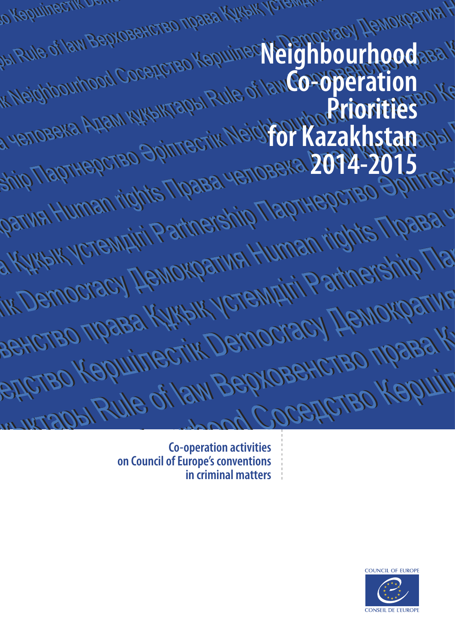| JAI Rule of law Bepxosexicted Magasi Midaw Teremany                                                        |
|------------------------------------------------------------------------------------------------------------|
|                                                                                                            |
| Indightourhood Cocapcrao Kapuinec Neighbourhoodse<br>Ship TlapTHepcteo Spintrectik Neighbourhood instanted |
|                                                                                                            |
| Parwel Human rights Theasa yenoseka 2014-2015<br>и Кукык устемдігі Partnership Партнерство Эрите           |
|                                                                                                            |
| IK Democracy Hemokparwa Human rights Tipae?<br><b>Зенство права Кукык устемдігі Ратілегенір Г</b>          |
|                                                                                                            |
| едство Кершілестік Democracy Демократ<br><b>ESSEDITO DE LA SERVOBRACTEO TIDADA</b>                         |
|                                                                                                            |

**Co-operation activities on Council of Europe's conventions in criminal matters**

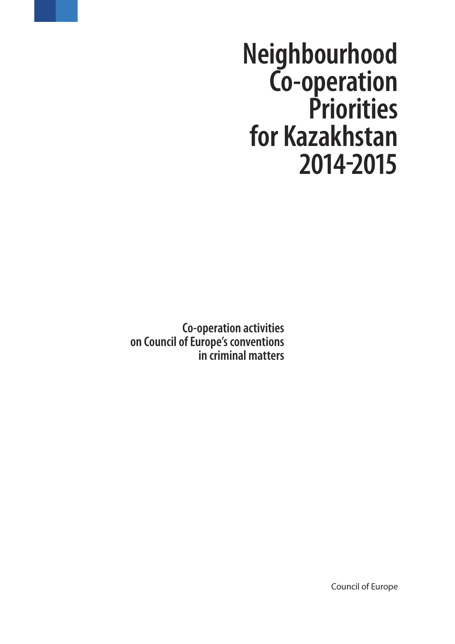**Neighbourhood Co-operation Priorities for Kazakhstan 2014-2015**

**Co-operation activities on Council of Europe's conventions in criminal matters**

Council of Europe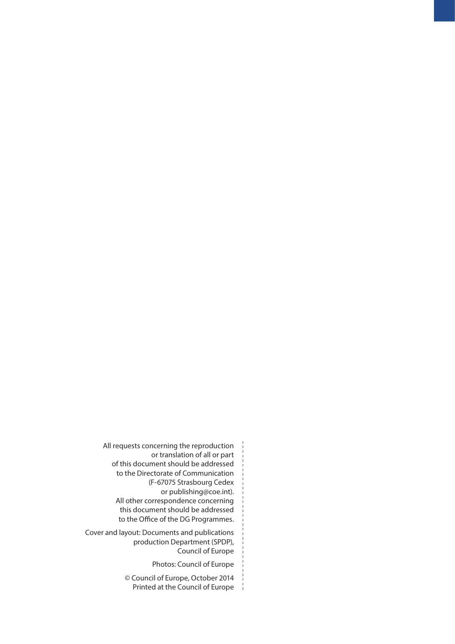All requests concerning the reproduction or translation of all or part of this document should be addressed to the Directorate of Communication (F-67075 Strasbourg Cedex or publishing@coe.int). All other correspondence concerning this document should be addressed to the Office of the DG Programmes.

Cover and layout: Documents and publications production Department (SPDP), Council of Europe

Photos: Council of Europe

© Council of Europe, October 2014 Printed at the Council of Europe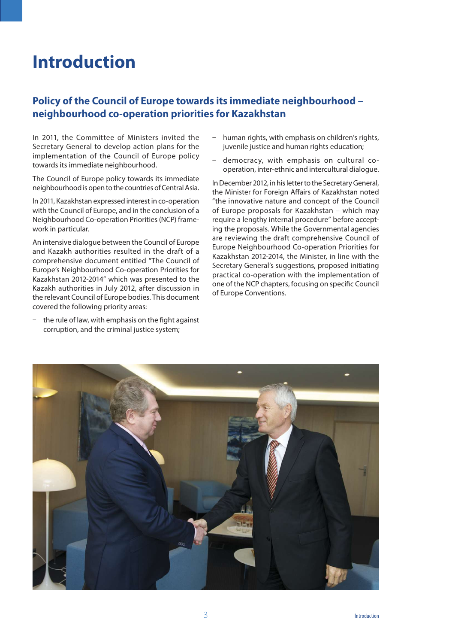# **Introduction**

## **Policy of the Council of Europe towards its immediate neighbourhood – neighbourhood co-operation priorities for Kazakhstan**

In 2011, the Committee of Ministers invited the Secretary General to develop action plans for the implementation of the Council of Europe policy towards its immediate neighbourhood.

The Council of Europe policy towards its immediate neighbourhood is open to the countries of Central Asia.

In 2011, Kazakhstan expressed interest in co-operation with the Council of Europe, and in the conclusion of a Neighbourhood Co-operation Priorities (NCP) framework in particular.

An intensive dialogue between the Council of Europe and Kazakh authorities resulted in the draft of a comprehensive document entitled "The Council of Europe's Neighbourhood Co-operation Priorities for Kazakhstan 2012-2014" which was presented to the Kazakh authorities in July 2012, after discussion in the relevant Council of Europe bodies. This document covered the following priority areas:

 $-$  the rule of law, with emphasis on the fight against corruption, and the criminal justice system;

- human rights, with emphasis on children's rights, juvenile justice and human rights education;
- ū democracy, with emphasis on cultural cooperation, inter-ethnic and intercultural dialogue.

In December 2012, in his letter to the Secretary General, the Minister for Foreign Affairs of Kazakhstan noted "the innovative nature and concept of the Council of Europe proposals for Kazakhstan – which may require a lengthy internal procedure" before accepting the proposals. While the Governmental agencies are reviewing the draft comprehensive Council of Europe Neighbourhood Co-operation Priorities for Kazakhstan 2012-2014, the Minister, in line with the Secretary General's suggestions, proposed initiating practical co-operation with the implementation of one of the NCP chapters, focusing on specifc Council of Europe Conventions.

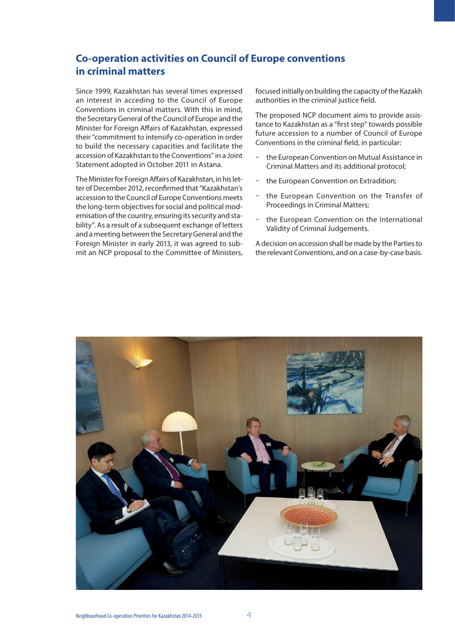## **Co-operation activities on Council of Europe conventions in criminal matters**

Since 1999, Kazakhstan has several times expressed an interest in acceding to the Council of Europe Conventions in criminal matters. With this in mind, the Secretary General of the Council of Europe and the Minister for Foreign Affairs of Kazakhstan, expressed their "commitment to intensify co-operation in order to build the necessary capacities and facilitate the accession of Kazakhstan to the Conventions" in a Joint Statement adopted in October 2011 in Astana.

The Minister for Foreign Affairs of Kazakhstan, in his letter of December 2012, reconfrmed that "Kazakhstan's accession to the Council of Europe Conventions meets the long-term objectives for social and political modernisation of the country, ensuring its security and stability". As a result of a subsequent exchange of letters and a meeting between the Secretary General and the Foreign Minister in early 2013, it was agreed to submit an NCP proposal to the Committee of Ministers, focused initially on building the capacity of the Kazakh authorities in the criminal justice feld.

The proposed NCP document aims to provide assistance to Kazakhstan as a "frst step" towards possible future accession to a number of Council of Europe Conventions in the criminal feld, in particular:

- the European Convention on Mutual Assistance in Criminal Matters and its additional protocol;
- the European Convention on Extradition:
- the European Convention on the Transfer of Proceedings in Criminal Matters;
- the European Convention on the International Validity of Criminal Judgements.

A decision on accession shall be made by the Parties to the relevant Conventions, and on a case-by-case basis.

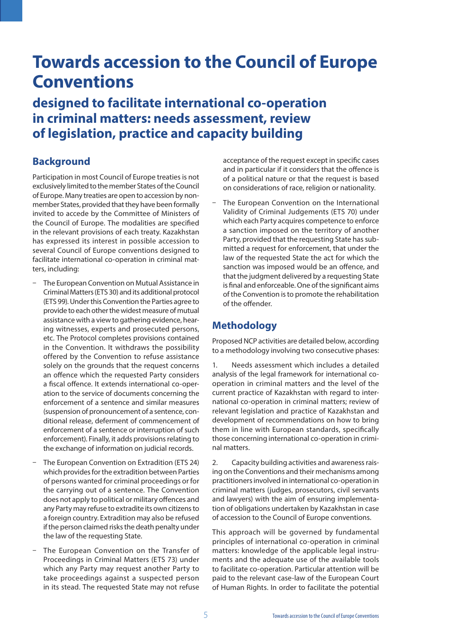# **Towards accession to the Council of Europe Conventions**

**designed to facilitate international co-operation in criminal matters: needs assessment, review of legislation, practice and capacity building**

## **Background**

Participation in most Council of Europe treaties is not exclusively limited to the member States of the Council of Europe. Many treaties are open to accession by nonmember States, provided that they have been formally invited to accede by the Committee of Ministers of the Council of Europe. The modalities are specifed in the relevant provisions of each treaty. Kazakhstan has expressed its interest in possible accession to several Council of Europe conventions designed to facilitate international co-operation in criminal matters, including:

- The European Convention on Mutual Assistance in Criminal Matters (ETS 30) and its additional protocol (ETS 99). Under this Convention the Parties agree to provide to each other the widest measure of mutual assistance with a view to gathering evidence, hearing witnesses, experts and prosecuted persons, etc. The Protocol completes provisions contained in the Convention. It withdraws the possibility offered by the Convention to refuse assistance solely on the grounds that the request concerns an offence which the requested Party considers a fiscal offence. It extends international co-operation to the service of documents concerning the enforcement of a sentence and similar measures (suspension of pronouncement of a sentence, conditional release, deferment of commencement of enforcement of a sentence or interruption of such enforcement). Finally, it adds provisions relating to the exchange of information on judicial records.
- The European Convention on Extradition (ETS 24) which provides for the extradition between Parties of persons wanted for criminal proceedings or for the carrying out of a sentence. The Convention does not apply to political or military ofences and any Party may refuse to extradite its own citizens to a foreign country. Extradition may also be refused if the person claimed risks the death penalty under the law of the requesting State.
- The European Convention on the Transfer of Proceedings in Criminal Matters (ETS 73) under which any Party may request another Party to take proceedings against a suspected person in its stead. The requested State may not refuse

acceptance of the request except in specifc cases and in particular if it considers that the ofence is of a political nature or that the request is based on considerations of race, religion or nationality.

The European Convention on the International Validity of Criminal Judgements (ETS 70) under which each Party acquires competence to enforce a sanction imposed on the territory of another Party, provided that the requesting State has submitted a request for enforcement, that under the law of the requested State the act for which the sanction was imposed would be an offence, and that the judgment delivered by a requesting State is fnal and enforceable. One of the signifcant aims of the Convention is to promote the rehabilitation of the offender.

## **Methodology**

Proposed NCP activities are detailed below, according to a methodology involving two consecutive phases:

1. Needs assessment which includes a detailed analysis of the legal framework for international cooperation in criminal matters and the level of the current practice of Kazakhstan with regard to international co-operation in criminal matters; review of relevant legislation and practice of Kazakhstan and development of recommendations on how to bring them in line with European standards, specifcally those concerning international co-operation in criminal matters.

2. Capacity building activities and awareness raising on the Conventions and their mechanisms among practitioners involved in international co-operation in criminal matters (judges, prosecutors, civil servants and lawyers) with the aim of ensuring implementation of obligations undertaken by Kazakhstan in case of accession to the Council of Europe conventions.

This approach will be governed by fundamental principles of international co-operation in criminal matters: knowledge of the applicable legal instruments and the adequate use of the available tools to facilitate co-operation. Particular attention will be paid to the relevant case-law of the European Court of Human Rights. In order to facilitate the potential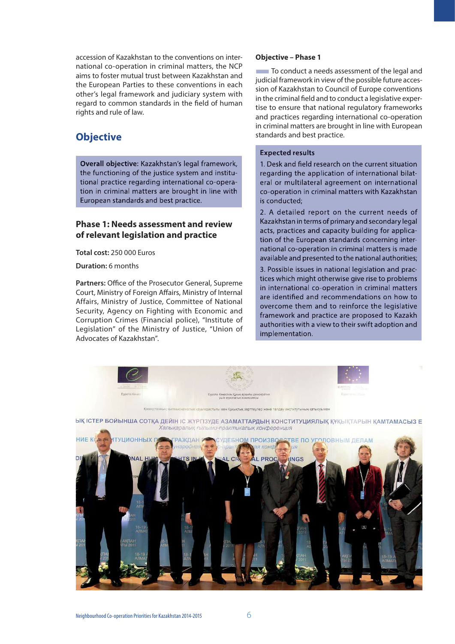accession of Kazakhstan to the conventions on international co-operation in criminal matters, the NCP aims to foster mutual trust between Kazakhstan and the European Parties to these conventions in each other's legal framework and judiciary system with regard to common standards in the feld of human rights and rule of law.

## **Objective**

**Overall objective:** Kazakhstan's legal framework, the functioning of the justice system and institutional practice regarding international co-operation in criminal matters are brought in line with European standards and best practice.

### **Phase 1: Needs assessment and review of relevant legislation and practice**

**Total cost:** 250 000 Euros

**Duration:** 6 months

Partners: Office of the Prosecutor General, Supreme Court, Ministry of Foreign Affairs, Ministry of Internal Affairs, Ministry of Justice, Committee of National Security, Agency on Fighting with Economic and Corruption Crimes (Financial police), "Institute of Legislation" of the Ministry of Justice, "Union of Advocates of Kazakhstan".

#### **Objective – Phase 1**

**The To conduct a needs assessment of the legal and** judicial framework in view of the possible future accession of Kazakhstan to Council of Europe conventions in the criminal feld and to conduct a legislative expertise to ensure that national regulatory frameworks and practices regarding international co-operation in criminal matters are brought in line with European standards and best practice.

#### **Expected results**

1. Desk and feld research on the current situation regarding the application of international bilateral or multilateral agreement on international co-operation in criminal matters with Kazakhstan is conducted;

2. A detailed report on the current needs of Kazakhstan in terms of primary and secondary legal acts, practices and capacity building for application of the European standards concerning international co-operation in criminal matters is made available and presented to the national authorities;

3. Possible issues in national legislation and practices which might otherwise give rise to problems in international co-operation in criminal matters are identifed and recommendations on how to overcome them and to reinforce the legislative framework and practice are proposed to Kazakh authorities with a view to their swift adoption and implementation.

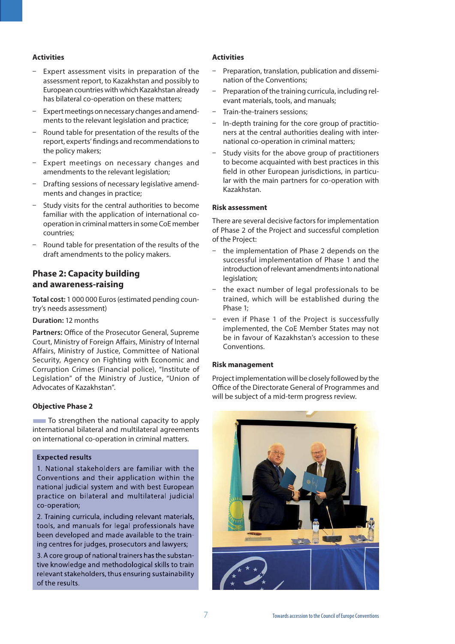#### **Activities**

- Expert assessment visits in preparation of the assessment report, to Kazakhstan and possibly to European countries with which Kazakhstan already has bilateral co-operation on these matters;
- Expert meetings on necessary changes and amendments to the relevant legislation and practice;
- ū Round table for presentation of the results of the report, experts' fndings and recommendations to the policy makers;
- Expert meetings on necessary changes and amendments to the relevant legislation;
- Drafting sessions of necessary legislative amendments and changes in practice;
- Study visits for the central authorities to become familiar with the application of international cooperation in criminal matters in some CoE member countries;
- ū Round table for presentation of the results of the draft amendments to the policy makers.

### **Phase 2: Capacity building and awareness-raising**

**Total cost:** 1 000 000 Euros (estimated pending country's needs assessment)

#### **Duration:** 12 months

Partners: Office of the Prosecutor General, Supreme Court, Ministry of Foreign Afairs, Ministry of Internal Affairs, Ministry of Justice, Committee of National Security, Agency on Fighting with Economic and Corruption Crimes (Financial police), "Institute of Legislation" of the Ministry of Justice, "Union of Advocates of Kazakhstan".

#### **Objective Phase 2**

**To strengthen the national capacity to apply** international bilateral and multilateral agreements on international co-operation in criminal matters.

#### **Expected results**

1. National stakeholders are familiar with the Conventions and their application within the national judicial system and with best European practice on bilateral and multilateral judicial co-operation;

2. Training curricula, including relevant materials, tools, and manuals for legal professionals have been developed and made available to the training centres for judges, prosecutors and lawyers;

3. A core group of national trainers has the substantive knowledge and methodological skills to train relevant stakeholders, thus ensuring sustainability of the results.

#### **Activities**

- Preparation, translation, publication and dissemination of the Conventions;
- Preparation of the training curricula, including relevant materials, tools, and manuals;
- ū Train-the-trainers sessions;
- ū In-depth training for the core group of practitioners at the central authorities dealing with international co-operation in criminal matters;
- Study visits for the above group of practitioners to become acquainted with best practices in this feld in other European jurisdictions, in particular with the main partners for co-operation with Kazakhstan.

#### **Risk assessment**

There are several decisive factors for implementation of Phase 2 of the Project and successful completion of the Project:

- the implementation of Phase 2 depends on the successful implementation of Phase 1 and the introduction of relevant amendments into national legislation;
- the exact number of legal professionals to be trained, which will be established during the Phase 1;
- even if Phase 1 of the Project is successfully implemented, the CoE Member States may not be in favour of Kazakhstan's accession to these Conventions.

#### **Risk management**

Project implementation will be closely followed by the Office of the Directorate General of Programmes and will be subject of a mid-term progress review.

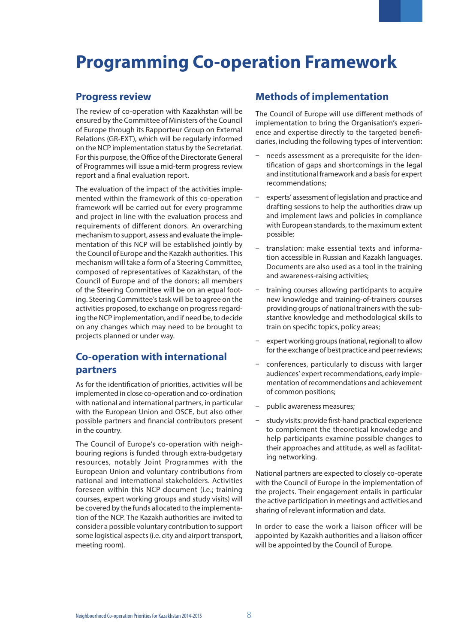# **Programming Co-operation Framework**

### **Progress review**

The review of co-operation with Kazakhstan will be ensured by the Committee of Ministers of the Council of Europe through its Rapporteur Group on External Relations (GR-EXT), which will be regularly informed on the NCP implementation status by the Secretariat. For this purpose, the Office of the Directorate General of Programmes will issue a mid-term progress review report and a fnal evaluation report.

The evaluation of the impact of the activities implemented within the framework of this co-operation framework will be carried out for every programme and project in line with the evaluation process and requirements of different donors. An overarching mechanism to support, assess and evaluate the implementation of this NCP will be established jointly by the Council of Europe and the Kazakh authorities. This mechanism will take a form of a Steering Committee, composed of representatives of Kazakhstan, of the Council of Europe and of the donors; all members of the Steering Committee will be on an equal footing. Steering Committee's task will be to agree on the activities proposed, to exchange on progress regarding the NCP implementation, and if need be, to decide on any changes which may need to be brought to projects planned or under way.

## **Co-operation with international partners**

As for the identifcation of priorities, activities will be implemented in close co-operation and co-ordination with national and international partners, in particular with the European Union and OSCE, but also other possible partners and fnancial contributors present in the country.

The Council of Europe's co-operation with neighbouring regions is funded through extra-budgetary resources, notably Joint Programmes with the European Union and voluntary contributions from national and international stakeholders. Activities foreseen within this NCP document (i.e.; training courses, expert working groups and study visits) will be covered by the funds allocated to the implementation of the NCP. The Kazakh authorities are invited to consider a possible voluntary contribution to support some logistical aspects (i.e. city and airport transport, meeting room).

## **Methods of implementation**

The Council of Europe will use diferent methods of implementation to bring the Organisation's experience and expertise directly to the targeted benefciaries, including the following types of intervention:

- $-$  needs assessment as a prerequisite for the identifcation of gaps and shortcomings in the legal and institutional framework and a basis for expert recommendations;
- experts' assessment of legislation and practice and drafting sessions to help the authorities draw up and implement laws and policies in compliance with European standards, to the maximum extent possible;
- ū translation: make essential texts and information accessible in Russian and Kazakh languages. Documents are also used as a tool in the training and awareness-raising activities;
- training courses allowing participants to acquire new knowledge and training-of-trainers courses providing groups of national trainers with the substantive knowledge and methodological skills to train on specifc topics, policy areas;
- expert working groups (national, regional) to allow for the exchange of best practice and peer reviews;
- ū conferences, particularly to discuss with larger audiences' expert recommendations, early implementation of recommendations and achievement of common positions;
- ū public awareness measures;
- study visits: provide first-hand practical experience to complement the theoretical knowledge and help participants examine possible changes to their approaches and attitude, as well as facilitating networking.

National partners are expected to closely co-operate with the Council of Europe in the implementation of the projects. Their engagement entails in particular the active participation in meetings and activities and sharing of relevant information and data.

In order to ease the work a liaison officer will be appointed by Kazakh authorities and a liaison officer will be appointed by the Council of Europe.